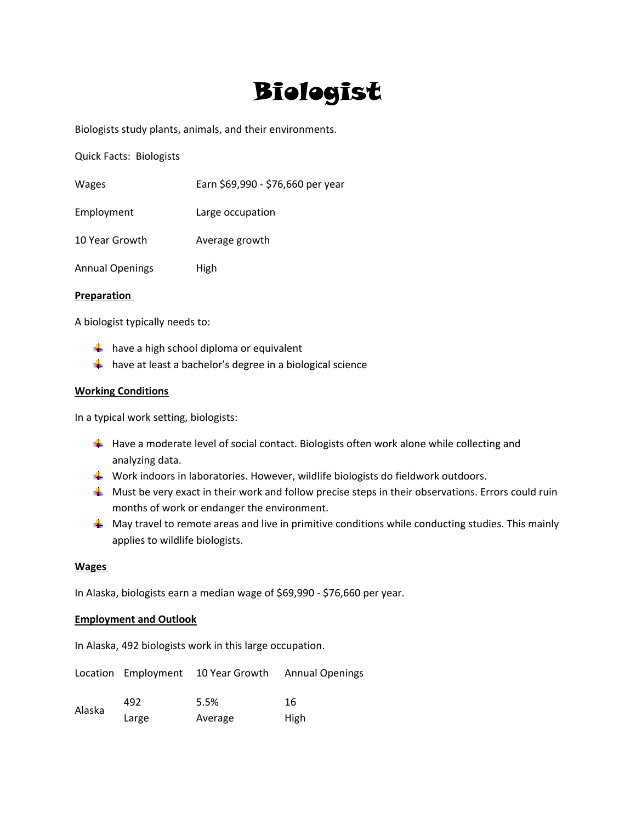# Biologist

Biologists study plants, animals, and their environments.

Quick Facts: Biologists

| Wages                  | Earn \$69,990 - \$76,660 per year |
|------------------------|-----------------------------------|
| Employment             | Large occupation                  |
| 10 Year Growth         | Average growth                    |
| <b>Annual Openings</b> | High                              |

## **Preparation**

A biologist typically needs to:

- $\frac{1}{2}$  have a high school diploma or equivalent
- $\frac{1}{2}$  have at least a bachelor's degree in a biological science

## **Working Conditions**

In a typical work setting, biologists:

- $\downarrow$  Have a moderate level of social contact. Biologists often work alone while collecting and analyzing data.
- Work indoors in laboratories. However, wildlife biologists do fieldwork outdoors.
- $\frac{1}{2}$  Must be very exact in their work and follow precise steps in their observations. Errors could ruin months of work or endanger the environment.
- $\downarrow$  May travel to remote areas and live in primitive conditions while conducting studies. This mainly applies to wildlife biologists.

## **Wages**

In Alaska, biologists earn a median wage of \$69,990 ‐ \$76,660 per year.

# **Employment and Outlook**

In Alaska, 492 biologists work in this large occupation.

|        |       |         | Location Employment 10 Year Growth Annual Openings |
|--------|-------|---------|----------------------------------------------------|
| Alaska | 492   | 5.5%    | 16                                                 |
|        | Large | Average | High                                               |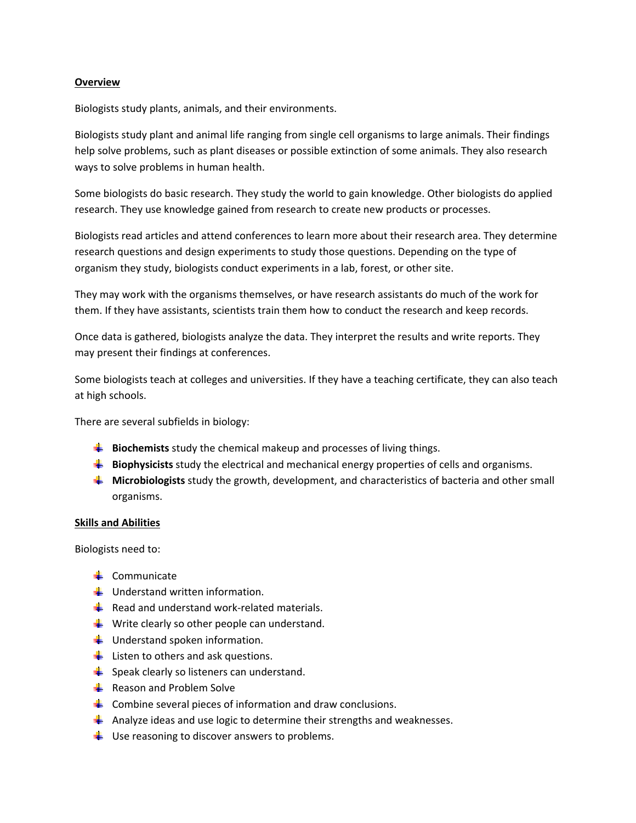## **Overview**

Biologists study plants, animals, and their environments.

Biologists study plant and animal life ranging from single cell organisms to large animals. Their findings help solve problems, such as plant diseases or possible extinction of some animals. They also research ways to solve problems in human health.

Some biologists do basic research. They study the world to gain knowledge. Other biologists do applied research. They use knowledge gained from research to create new products or processes.

Biologists read articles and attend conferences to learn more about their research area. They determine research questions and design experiments to study those questions. Depending on the type of organism they study, biologists conduct experiments in a lab, forest, or other site.

They may work with the organisms themselves, or have research assistants do much of the work for them. If they have assistants, scientists train them how to conduct the research and keep records.

Once data is gathered, biologists analyze the data. They interpret the results and write reports. They may present their findings at conferences.

Some biologists teach at colleges and universities. If they have a teaching certificate, they can also teach at high schools.

There are several subfields in biology:

- **Biochemists** study the chemical makeup and processes of living things.
- **Biophysicists** study the electrical and mechanical energy properties of cells and organisms.
- **Microbiologists** study the growth, development, and characteristics of bacteria and other small organisms.

## **Skills and Abilities**

Biologists need to:

- $\frac{1}{2}$  Communicate
- $\frac{1}{2}$  Understand written information.
- Read and understand work-related materials.
- $\frac{1}{2}$  Write clearly so other people can understand.
- $\frac{1}{2}$  Understand spoken information.
- $\overline{\phantom{a}}$  Listen to others and ask questions.
- $\frac{1}{2}$  Speak clearly so listeners can understand.
- $\frac{1}{2}$  Reason and Problem Solve
- $\downarrow$  Combine several pieces of information and draw conclusions.
- Analyze ideas and use logic to determine their strengths and weaknesses.
- $\downarrow$  Use reasoning to discover answers to problems.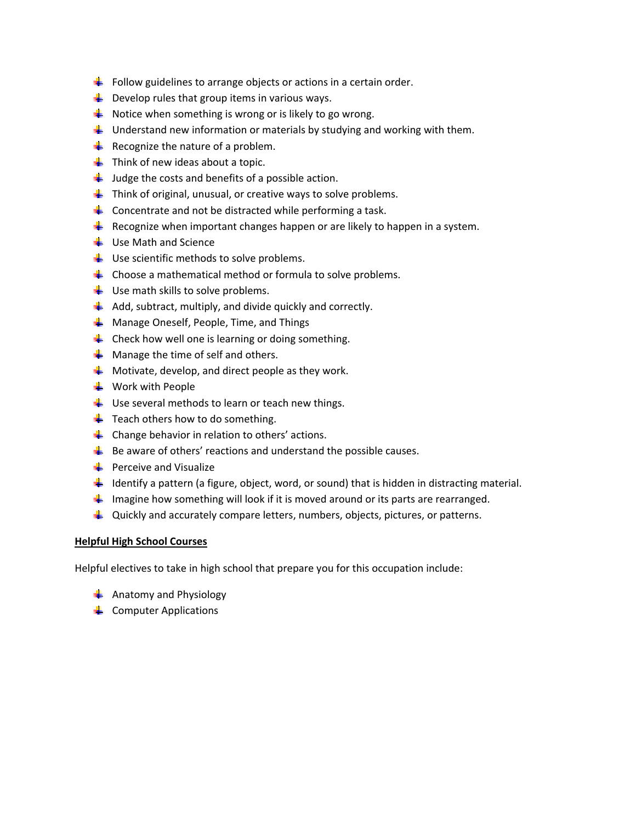- $\downarrow$  Follow guidelines to arrange objects or actions in a certain order.
- $\frac{1}{2}$  Develop rules that group items in various ways.
- $\frac{1}{2}$  Notice when something is wrong or is likely to go wrong.
- $\frac{1}{2}$  Understand new information or materials by studying and working with them.
- $\frac{1}{2}$  Recognize the nature of a problem.
- $\frac{1}{\sqrt{2}}$  Think of new ideas about a topic.
- $\frac{1}{2}$  Judge the costs and benefits of a possible action.
- $\frac{1}{2}$  Think of original, unusual, or creative ways to solve problems.
- $\frac{1}{2}$  Concentrate and not be distracted while performing a task.
- Recognize when important changes happen or are likely to happen in a system.
- $\frac{1}{\sqrt{2}}$  Use Math and Science
- $\frac{1}{2}$  Use scientific methods to solve problems.
- $\downarrow$  Choose a mathematical method or formula to solve problems.
- $\frac{1}{2}$  Use math skills to solve problems.
- $\downarrow$  Add, subtract, multiply, and divide quickly and correctly.
- $\frac{1}{2}$  Manage Oneself, People, Time, and Things
- $\downarrow$  Check how well one is learning or doing something.
- $\frac{1}{\sqrt{2}}$  Manage the time of self and others.
- $\frac{1}{2}$  Motivate, develop, and direct people as they work.
- $\ddot{\bullet}$  Work with People
- $\downarrow$  Use several methods to learn or teach new things.
- $\frac{1}{\sqrt{2}}$  Teach others how to do something.
- $\triangleq$  Change behavior in relation to others' actions.
- $\frac{1}{2}$  Be aware of others' reactions and understand the possible causes.
- $\frac{1}{2}$  Perceive and Visualize
- Identify a pattern (a figure, object, word, or sound) that is hidden in distracting material.
- Imagine how something will look if it is moved around or its parts are rearranged.
- $\downarrow$  Quickly and accurately compare letters, numbers, objects, pictures, or patterns.

# **Helpful High School Courses**

Helpful electives to take in high school that prepare you for this occupation include:

- $\frac{1}{\sqrt{2}}$  Anatomy and Physiology
- $\leftarrow$  Computer Applications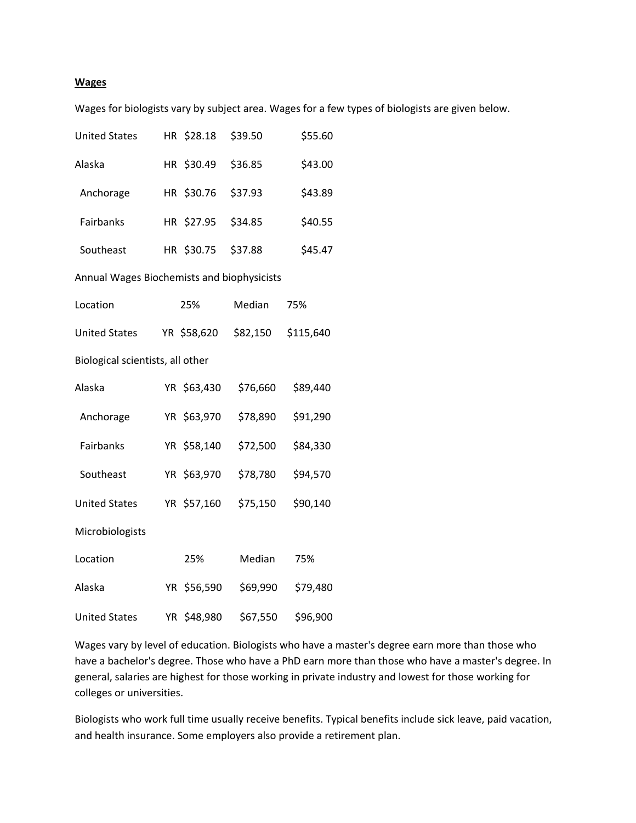#### **Wages**

Wages for biologists vary by subject area. Wages for a few types of biologists are given below.

| <b>United States</b>                       |    | HR \$28.18  | \$39.50  | \$55.60   |  |
|--------------------------------------------|----|-------------|----------|-----------|--|
| Alaska                                     |    | HR \$30.49  | \$36.85  | \$43.00   |  |
| Anchorage                                  |    | HR \$30.76  | \$37.93  | \$43.89   |  |
| Fairbanks                                  |    | HR \$27.95  | \$34.85  | \$40.55   |  |
| Southeast                                  |    | HR \$30.75  | \$37.88  | \$45.47   |  |
| Annual Wages Biochemists and biophysicists |    |             |          |           |  |
| Location                                   |    | 25%         | Median   | 75%       |  |
| <b>United States</b>                       |    | YR \$58,620 | \$82,150 | \$115,640 |  |
| Biological scientists, all other           |    |             |          |           |  |
| Alaska                                     |    | YR \$63,430 | \$76,660 | \$89,440  |  |
| Anchorage                                  |    | YR \$63,970 | \$78,890 | \$91,290  |  |
| Fairbanks                                  |    | YR \$58,140 | \$72,500 | \$84,330  |  |
| Southeast                                  |    | YR \$63,970 | \$78,780 | \$94,570  |  |
| <b>United States</b>                       |    | YR \$57,160 | \$75,150 | \$90,140  |  |
| Microbiologists                            |    |             |          |           |  |
| Location                                   |    | 25%         | Median   | 75%       |  |
| Alaska                                     |    | YR \$56,590 | \$69,990 | \$79,480  |  |
| <b>United States</b>                       | YR | \$48,980    | \$67,550 | \$96,900  |  |

Wages vary by level of education. Biologists who have a master's degree earn more than those who have a bachelor's degree. Those who have a PhD earn more than those who have a master's degree. In general, salaries are highest for those working in private industry and lowest for those working for colleges or universities.

Biologists who work full time usually receive benefits. Typical benefits include sick leave, paid vacation, and health insurance. Some employers also provide a retirement plan.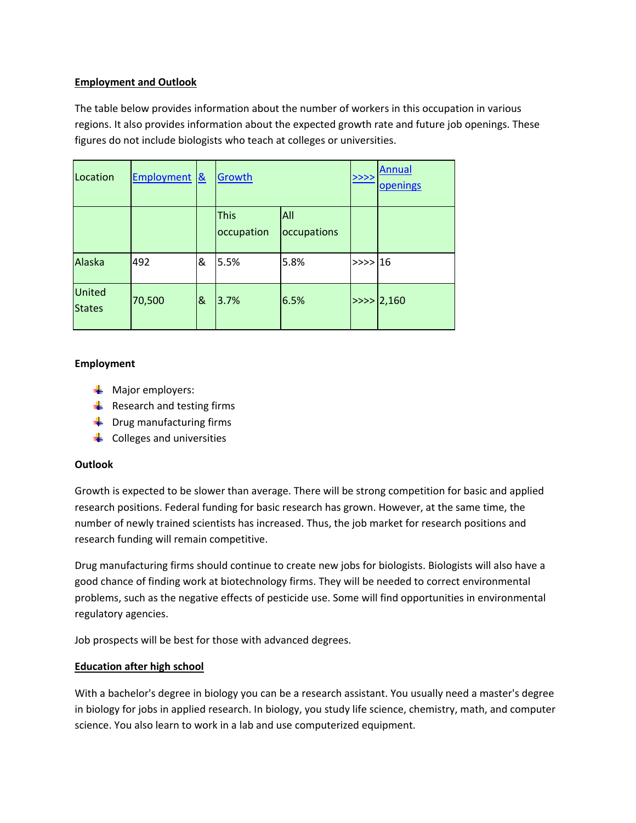# **Employment and Outlook**

The table below provides information about the number of workers in this occupation in various regions. It also provides information about the expected growth rate and future job openings. These figures do not include biologists who teach at colleges or universities.

| Location                       | Employment <sup>&amp;</sup> |   | Growth                    |                           | >>>>    | <b>Annual</b><br>openings |
|--------------------------------|-----------------------------|---|---------------------------|---------------------------|---------|---------------------------|
|                                |                             |   | <b>This</b><br>occupation | <b>All</b><br>occupations |         |                           |
| Alaska                         | 492                         | & | 5.5%                      | 5.8%                      | $>>$ 16 |                           |
| <b>United</b><br><b>States</b> | 70,500                      | 8 | 3.7%                      | 6.5%                      |         | >>> 2,160                 |

# **Employment**

- $\blacksquare$  Major employers:
- $\frac{1}{2}$  Research and testing firms
- $\ddot{\bullet}$  Drug manufacturing firms
- $\bigcup$  Colleges and universities

# **Outlook**

Growth is expected to be slower than average. There will be strong competition for basic and applied research positions. Federal funding for basic research has grown. However, at the same time, the number of newly trained scientists has increased. Thus, the job market for research positions and research funding will remain competitive.

Drug manufacturing firms should continue to create new jobs for biologists. Biologists will also have a good chance of finding work at biotechnology firms. They will be needed to correct environmental problems, such as the negative effects of pesticide use. Some will find opportunities in environmental regulatory agencies.

Job prospects will be best for those with advanced degrees.

# **Education after high school**

With a bachelor's degree in biology you can be a research assistant. You usually need a master's degree in biology for jobs in applied research. In biology, you study life science, chemistry, math, and computer science. You also learn to work in a lab and use computerized equipment.